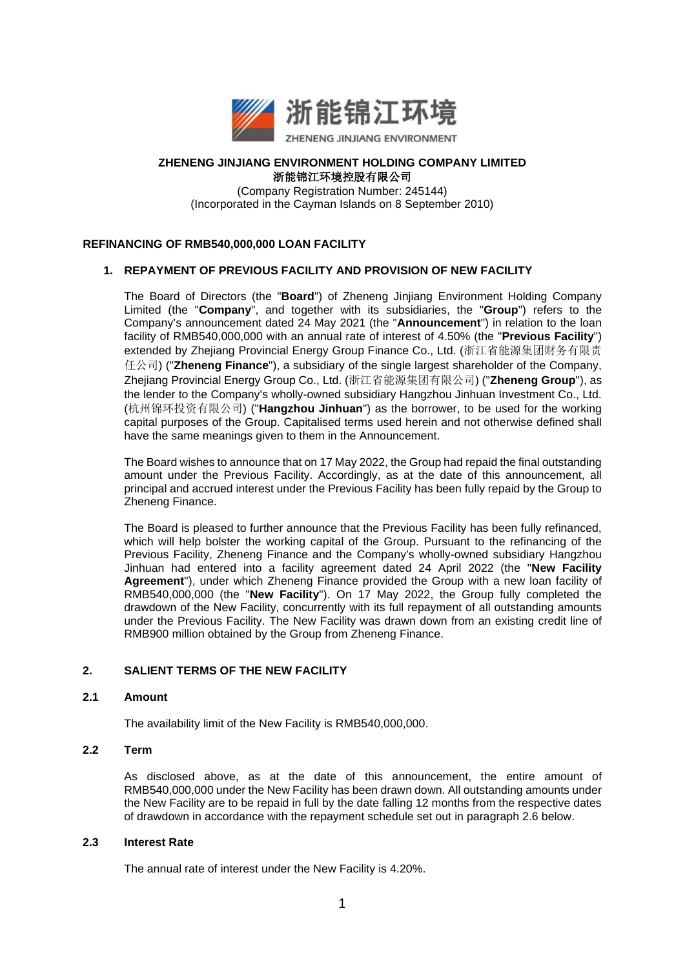

## **ZHENENG JINJIANG ENVIRONMENT HOLDING COMPANY LIMITED** 浙能锦江环境控股有限公司

(Company Registration Number: 245144) (Incorporated in the Cayman Islands on 8 September 2010)

## **REFINANCING OF RMB540,000,000 LOAN FACILITY**

## **1. REPAYMENT OF PREVIOUS FACILITY AND PROVISION OF NEW FACILITY**

The Board of Directors (the "**Board**") of Zheneng Jinjiang Environment Holding Company Limited (the "**Company**", and together with its subsidiaries, the "**Group**") refers to the Company's announcement dated 24 May 2021 (the "**Announcement**") in relation to the loan facility of RMB540,000,000 with an annual rate of interest of 4.50% (the "**Previous Facility**") extended by Zhejiang Provincial Energy Group Finance Co., Ltd. (浙江省能源集团财务有限责 任公司) ("**Zheneng Finance**"), a subsidiary of the single largest shareholder of the Company, Zhejiang Provincial Energy Group Co., Ltd. (浙江省能源集团有限公司) ("**Zheneng Group**"), as the lender to the Company's wholly-owned subsidiary Hangzhou Jinhuan Investment Co., Ltd. (杭州锦环投资有限公司) ("**Hangzhou Jinhuan**") as the borrower, to be used for the working capital purposes of the Group. Capitalised terms used herein and not otherwise defined shall have the same meanings given to them in the Announcement.

The Board wishes to announce that on 17 May 2022, the Group had repaid the final outstanding amount under the Previous Facility. Accordingly, as at the date of this announcement, all principal and accrued interest under the Previous Facility has been fully repaid by the Group to Zheneng Finance.

The Board is pleased to further announce that the Previous Facility has been fully refinanced, which will help bolster the working capital of the Group. Pursuant to the refinancing of the Previous Facility, Zheneng Finance and the Company's wholly-owned subsidiary Hangzhou Jinhuan had entered into a facility agreement dated 24 April 2022 (the "**New Facility Agreement**"), under which Zheneng Finance provided the Group with a new loan facility of RMB540,000,000 (the "**New Facility**"). On 17 May 2022, the Group fully completed the drawdown of the New Facility, concurrently with its full repayment of all outstanding amounts under the Previous Facility. The New Facility was drawn down from an existing credit line of RMB900 million obtained by the Group from Zheneng Finance.

# **2. SALIENT TERMS OF THE NEW FACILITY**

#### **2.1 Amount**

The availability limit of the New Facility is RMB540,000,000.

## **2.2 Term**

As disclosed above, as at the date of this announcement, the entire amount of RMB540,000,000 under the New Facility has been drawn down. All outstanding amounts under the New Facility are to be repaid in full by the date falling 12 months from the respective dates of drawdown in accordance with the repayment schedule set out in paragraph 2.6 below.

#### **2.3 Interest Rate**

The annual rate of interest under the New Facility is 4.20%.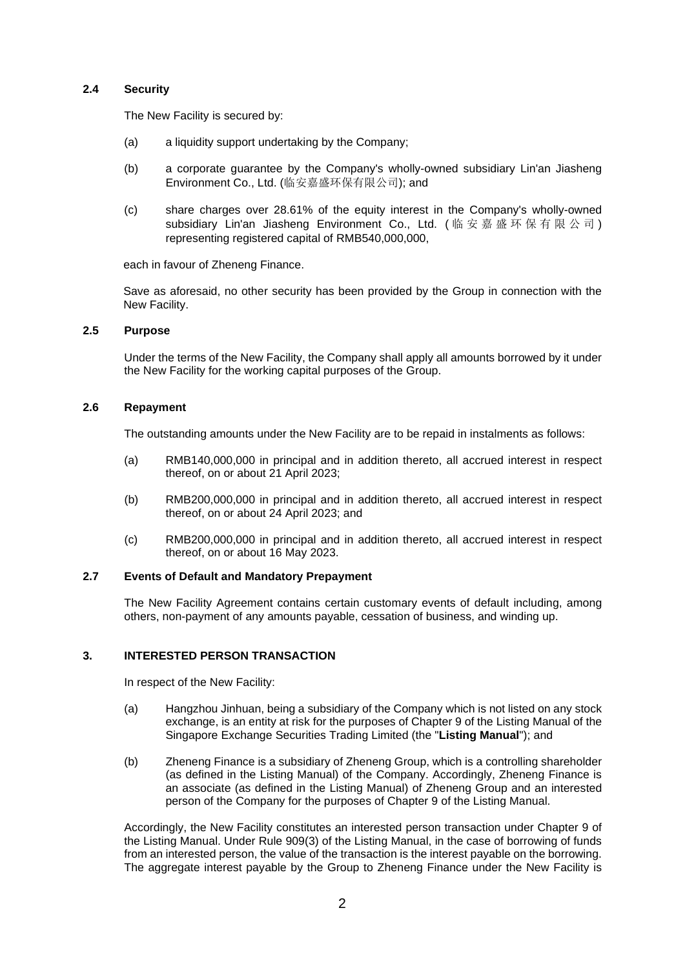## **2.4 Security**

The New Facility is secured by:

- (a) a liquidity support undertaking by the Company;
- (b) a corporate guarantee by the Company's wholly-owned subsidiary Lin'an Jiasheng Environment Co., Ltd. (临安嘉盛环保有限公司); and
- (c) share charges over 28.61% of the equity interest in the Company's wholly-owned subsidiary Lin'an Jiasheng Environment Co., Ltd. ( 临安嘉盛环保有限公司 ) representing registered capital of RMB540,000,000,

each in favour of Zheneng Finance.

Save as aforesaid, no other security has been provided by the Group in connection with the New Facility.

## **2.5 Purpose**

Under the terms of the New Facility, the Company shall apply all amounts borrowed by it under the New Facility for the working capital purposes of the Group.

#### **2.6 Repayment**

The outstanding amounts under the New Facility are to be repaid in instalments as follows:

- (a) RMB140,000,000 in principal and in addition thereto, all accrued interest in respect thereof, on or about 21 April 2023;
- (b) RMB200,000,000 in principal and in addition thereto, all accrued interest in respect thereof, on or about 24 April 2023; and
- (c) RMB200,000,000 in principal and in addition thereto, all accrued interest in respect thereof, on or about 16 May 2023.

#### **2.7 Events of Default and Mandatory Prepayment**

The New Facility Agreement contains certain customary events of default including, among others, non-payment of any amounts payable, cessation of business, and winding up.

#### **3. INTERESTED PERSON TRANSACTION**

In respect of the New Facility:

- (a) Hangzhou Jinhuan, being a subsidiary of the Company which is not listed on any stock exchange, is an entity at risk for the purposes of Chapter 9 of the Listing Manual of the Singapore Exchange Securities Trading Limited (the "**Listing Manual**"); and
- (b) Zheneng Finance is a subsidiary of Zheneng Group, which is a controlling shareholder (as defined in the Listing Manual) of the Company. Accordingly, Zheneng Finance is an associate (as defined in the Listing Manual) of Zheneng Group and an interested person of the Company for the purposes of Chapter 9 of the Listing Manual.

Accordingly, the New Facility constitutes an interested person transaction under Chapter 9 of the Listing Manual. Under Rule 909(3) of the Listing Manual, in the case of borrowing of funds from an interested person, the value of the transaction is the interest payable on the borrowing. The aggregate interest payable by the Group to Zheneng Finance under the New Facility is